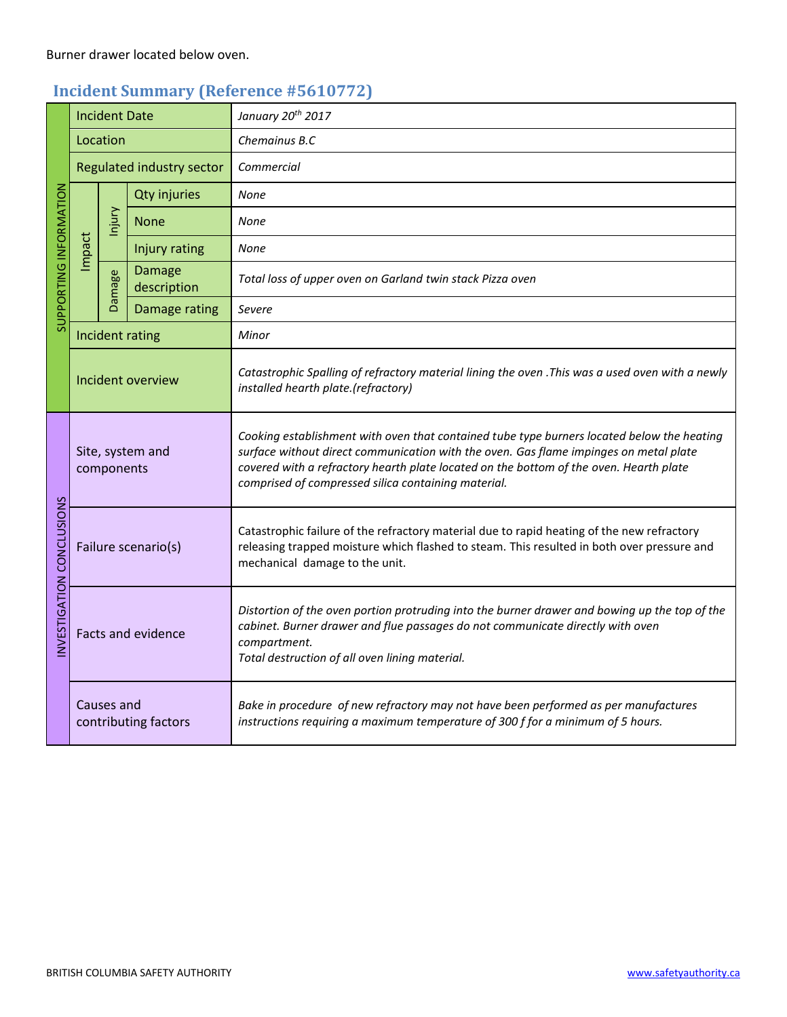## **Incident Summary (Reference #5610772)**

| SUPPORTING INFORMATION   | <b>Incident Date</b>               |               |                              | January 20th 2017                                                                                                                                                                                                                                                                                                                    |
|--------------------------|------------------------------------|---------------|------------------------------|--------------------------------------------------------------------------------------------------------------------------------------------------------------------------------------------------------------------------------------------------------------------------------------------------------------------------------------|
|                          | Location                           |               |                              | Chemainus B.C                                                                                                                                                                                                                                                                                                                        |
|                          | Regulated industry sector          |               |                              | Commercial                                                                                                                                                                                                                                                                                                                           |
|                          | Impact                             | Injury        | <b>Qty injuries</b>          | <b>None</b>                                                                                                                                                                                                                                                                                                                          |
|                          |                                    |               | <b>None</b>                  | None                                                                                                                                                                                                                                                                                                                                 |
|                          |                                    |               | Injury rating                | None                                                                                                                                                                                                                                                                                                                                 |
|                          |                                    | <b>Damage</b> | <b>Damage</b><br>description | Total loss of upper oven on Garland twin stack Pizza oven                                                                                                                                                                                                                                                                            |
|                          |                                    |               | Damage rating                | Severe                                                                                                                                                                                                                                                                                                                               |
|                          | Incident rating                    |               |                              | Minor                                                                                                                                                                                                                                                                                                                                |
|                          | Incident overview                  |               |                              | Catastrophic Spalling of refractory material lining the oven . This was a used oven with a newly<br>installed hearth plate.(refractory)                                                                                                                                                                                              |
| NVESTIGATION CONCLUSIONS | Site, system and<br>components     |               |                              | Cooking establishment with oven that contained tube type burners located below the heating<br>surface without direct communication with the oven. Gas flame impinges on metal plate<br>covered with a refractory hearth plate located on the bottom of the oven. Hearth plate<br>comprised of compressed silica containing material. |
|                          | Failure scenario(s)                |               |                              | Catastrophic failure of the refractory material due to rapid heating of the new refractory<br>releasing trapped moisture which flashed to steam. This resulted in both over pressure and<br>mechanical damage to the unit.                                                                                                           |
|                          | Facts and evidence                 |               |                              | Distortion of the oven portion protruding into the burner drawer and bowing up the top of the<br>cabinet. Burner drawer and flue passages do not communicate directly with oven<br>compartment.<br>Total destruction of all oven lining material.                                                                                    |
|                          | Causes and<br>contributing factors |               |                              | Bake in procedure of new refractory may not have been performed as per manufactures<br>instructions requiring a maximum temperature of 300 f for a minimum of 5 hours.                                                                                                                                                               |